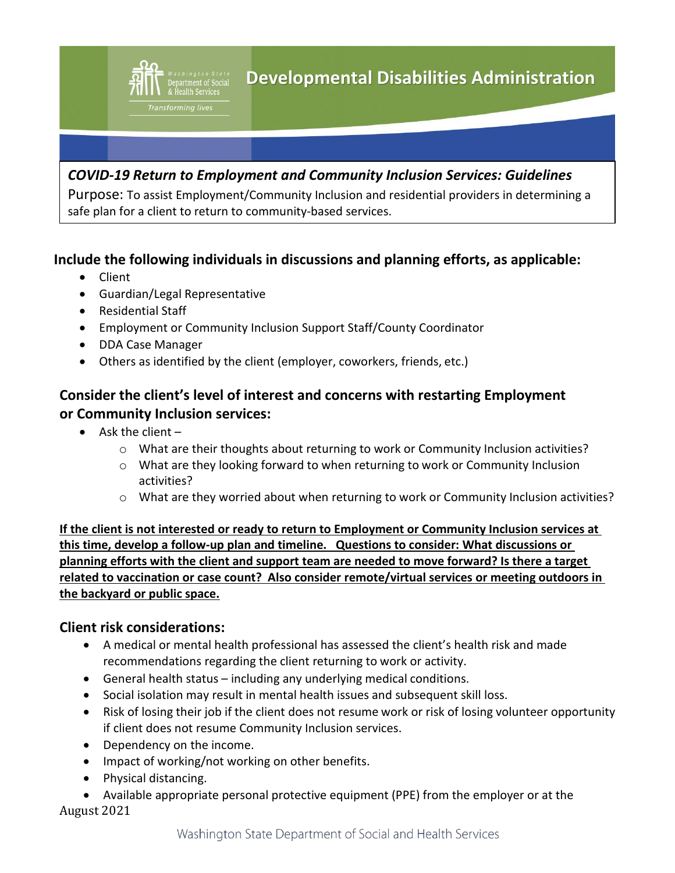

Purpose: To assist Employment/Community Inclusion and residential providers in determining a safe plan for a client to return to community-based services.

## **Include the following individuals in discussions and planning efforts, as applicable:**

- Client
- Guardian/Legal Representative
- Residential Staff
- Employment or Community Inclusion Support Staff/County Coordinator
- DDA Case Manager
- Others as identified by the client (employer, coworkers, friends, etc.)

## **Consider the client's level of interest and concerns with restarting Employment or Community Inclusion services:**

- Ask the client  $$ 
	- o What are their thoughts about returning to work or Community Inclusion activities?
	- $\circ$  What are they looking forward to when returning to work or Community Inclusion activities?
	- o What are they worried about when returning to work or Community Inclusion activities?

**If the client is not interested or ready to return to Employment or Community Inclusion services at this time, develop a follow-up plan and timeline. Questions to consider: What discussions or planning efforts with the client and support team are needed to move forward? Is there a target related to vaccination or case count? Also consider remote/virtual services or meeting outdoors in the backyard or public space.**

## **Client risk considerations:**

- A medical or mental health professional has assessed the client's health risk and made recommendations regarding the client returning to work or activity.
- General health status including any underlying medical conditions.
- Social isolation may result in mental health issues and subsequent skill loss.
- Risk of losing their job if the client does not resume work or risk of losing volunteer opportunity if client does not resume Community Inclusion services.
- Dependency on the income.
- Impact of working/not working on other benefits.
- Physical distancing.
- August 2021 • Available appropriate personal protective equipment (PPE) from the employer or at the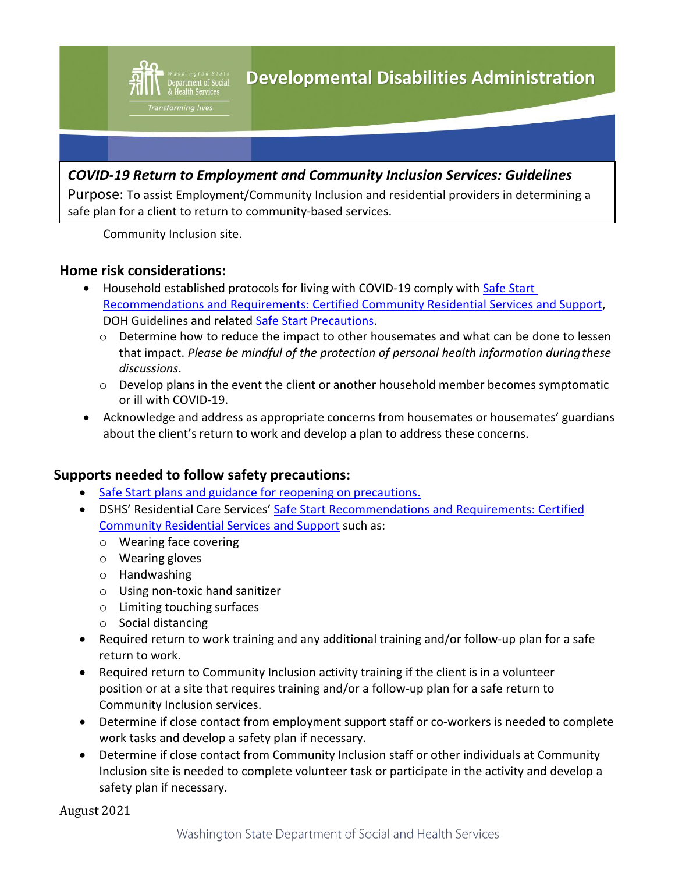

Purpose: To assist Employment/Community Inclusion and residential providers in determining a safe plan for a client to return to community-based services.

Community Inclusion site.

Transforming lives

### **Home risk considerations:**

- Household established protocols for living with COVID-19 comply with Safe Start [Recommendations and Requirements: Certified Community Residential Services and Support,](https://www.dshs.wa.gov/sites/default/files/ALTSA/covid-19/CCRSS%20Safe%20Start%20CDC%20guidance.pdf) DOH Guidelines and related Safe Start [Precautions.](https://www.coronavirus.wa.gov/information-for/workers)
	- $\circ$  Determine how to reduce the impact to other housemates and what can be done to lessen that impact. *Please be mindful of the protection of personal health information duringthese discussions*.
	- $\circ$  Develop plans in the event the client or another household member becomes symptomatic or ill with COVID-19.
- Acknowledge and address as appropriate concerns from housemates or housemates' guardians about the client's return to work and develop a plan to address these concerns.

### **Supports needed to follow safety precautions:**

- [Safe Start plans and guidance for reopening on](https://www.coronavirus.wa.gov/information-for/workers) precautions.
- DSHS' Residential Care Services' [Safe Start Recommendations and Requirements: Certified](https://www.dshs.wa.gov/sites/default/files/ALTSA/covid-19/CCRSS%20Safe%20Start%20CDC%20guidance.pdf)  [Community Residential Services and Support](https://www.dshs.wa.gov/sites/default/files/ALTSA/covid-19/CCRSS%20Safe%20Start%20CDC%20guidance.pdf) such as:
	- o Wearing face covering
	- o Wearing gloves
	- o Handwashing
	- o Using non-toxic hand sanitizer
	- o Limiting touching surfaces
	- o Social distancing
- Required return to work training and any additional training and/or follow-up plan for a safe return to work.
- Required return to Community Inclusion activity training if the client is in a volunteer position or at a site that requires training and/or a follow-up plan for a safe return to Community Inclusion services.
- Determine if close contact from employment support staff or co-workers is needed to complete work tasks and develop a safety plan if necessary.
- Determine if close contact from Community Inclusion staff or other individuals at Community Inclusion site is needed to complete volunteer task or participate in the activity and develop a safety plan if necessary.

August 2021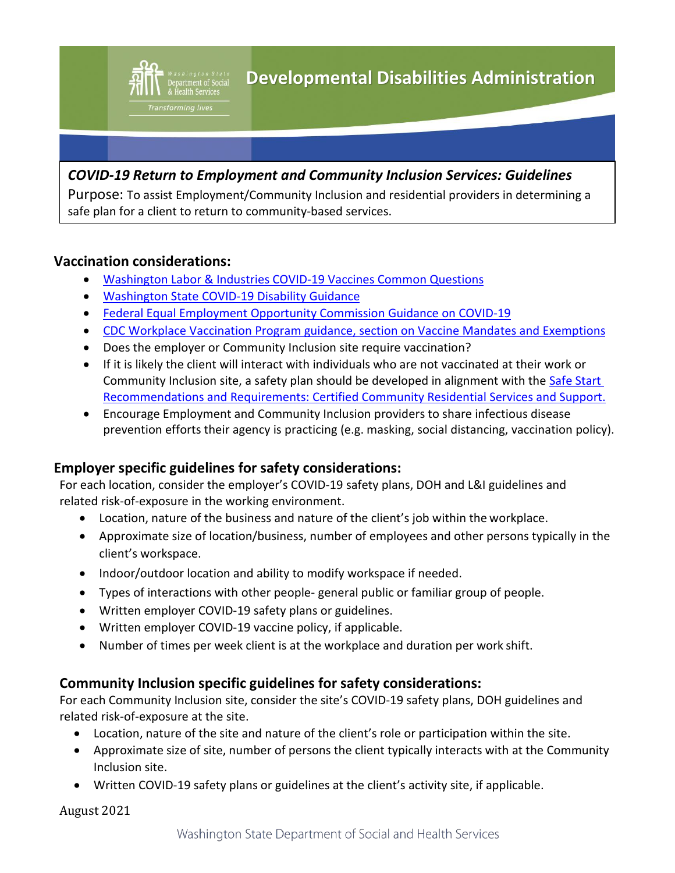Purpose: To assist Employment/Community Inclusion and residential providers in determining a safe plan for a client to return to community-based services.

## **Vaccination considerations:**

Transforming lives

- [Washington Labor & Industries COVID-19 Vaccines Common Questions](https://lni.wa.gov/agency/outreach/coronavirus-covid-19-vaccines-and-paid-sick-leave-common-questions)
- [Washington State COVID-19 Disability Guidance](https://www.hum.wa.gov/sites/default/files/public/publications/COVID-19.pdf)
- [Federal Equal Employment Opportunity Commission Guidance on COVID-19](https://www.eeoc.gov/wysk/what-you-should-know-about-covid-19-and-ada-rehabilitation-act-and-other-eeo-laws)
- [CDC Workplace Vaccination Program guidance, section on Vaccine Mandates and](https://www.cdc.gov/coronavirus/2019-ncov/vaccines/recommendations/essentialworker/workplace-vaccination-program.html#anchor_1615585395585) Exemptions
- Does the employer or Community Inclusion site require vaccination?
- If it is likely the client will interact with individuals who are not vaccinated at their work or Community Inclusion site, a safety plan should be developed in alignment with the [Safe Start](https://www.dshs.wa.gov/sites/default/files/ALTSA/covid-19/CCRSS%20Safe%20Start%20CDC%20guidance.pdf)  [Recommendations and Requirements: Certified Community Residential Services and Support.](https://www.dshs.wa.gov/sites/default/files/ALTSA/covid-19/CCRSS%20Safe%20Start%20CDC%20guidance.pdf)
- Encourage Employment and Community Inclusion providers to share infectious disease prevention efforts their agency is practicing (e.g. masking, social distancing, vaccination policy).

### **Employer specific guidelines for safety considerations:**

For each location, consider the employer's COVID-19 safety plans, DOH and L&I guidelines and related risk-of-exposure in the working environment.

- Location, nature of the business and nature of the client's job within the workplace.
- Approximate size of location/business, number of employees and other persons typically in the client's workspace.
- Indoor/outdoor location and ability to modify workspace if needed.
- Types of interactions with other people- general public or familiar group of people.
- Written employer COVID-19 safety plans or guidelines.
- Written employer COVID-19 vaccine policy, if applicable.
- Number of times per week client is at the workplace and duration per work shift.

### **Community Inclusion specific guidelines for safety considerations:**

For each Community Inclusion site, consider the site's COVID-19 safety plans, DOH guidelines and related risk-of-exposure at the site.

- Location, nature of the site and nature of the client's role or participation within the site.
- Approximate size of site, number of persons the client typically interacts with at the Community Inclusion site.
- Written COVID-19 safety plans or guidelines at the client's activity site, if applicable.

August 2021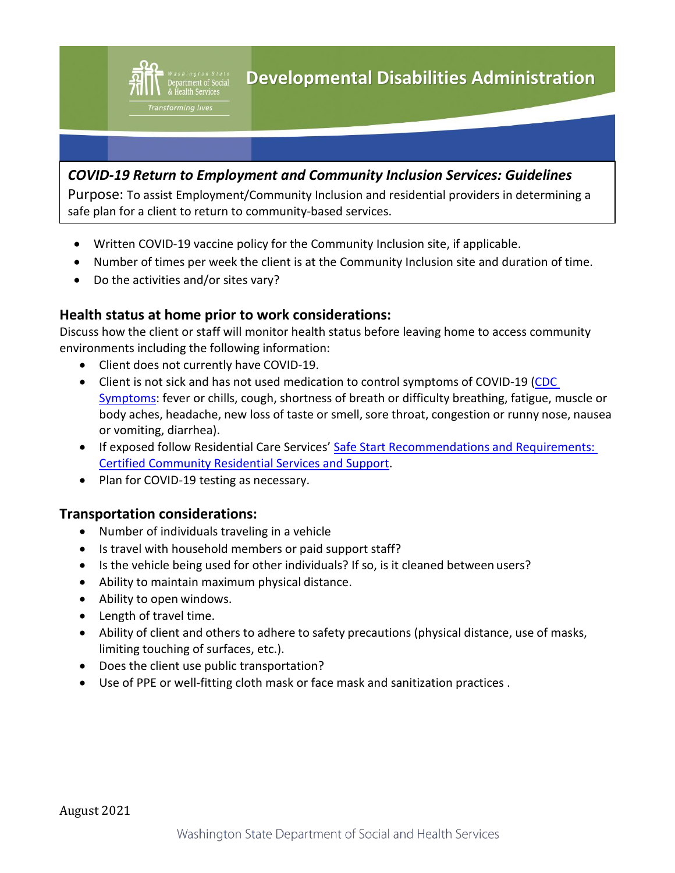

Purpose: To assist Employment/Community Inclusion and residential providers in determining a safe plan for a client to return to community-based services.

- Written COVID-19 vaccine policy for the Community Inclusion site, if applicable.
- Number of times per week the client is at the Community Inclusion site and duration of time.
- Do the activities and/or sites vary?

Transforming lives

### **Health status at home prior to work considerations:**

Discuss how the client or staff will monitor health status before leaving home to access community environments including the following information:

- Client does not currently have COVID-19.
- Client is not sick and has not used medication to control symptoms of COVID-19 [\(CDC](https://www.cdc.gov/coronavirus/2019-ncov/symptoms-testing/symptoms.html?CDC_AA_refVal=https%3A%2F%2Fwww.cdc.gov%2Fcoronavirus%2F2019-ncov%2Fabout%2Fsymptoms.html) [Symptoms:](https://www.cdc.gov/coronavirus/2019-ncov/symptoms-testing/symptoms.html?CDC_AA_refVal=https%3A%2F%2Fwww.cdc.gov%2Fcoronavirus%2F2019-ncov%2Fabout%2Fsymptoms.html) fever or chills, cough, shortness of breath or difficulty breathing, fatigue, muscle or body aches, headache, new loss of taste or smell, sore throat, congestion or runny nose, nausea or vomiting, diarrhea).
- If exposed follow Residential Care Services' Safe Start Recommendations and Requirements: [Certified Community Residential Services and Support.](https://www.dshs.wa.gov/sites/default/files/ALTSA/covid-19/CCRSS%20Safe%20Start%20CDC%20guidance.pdf)
- Plan for COVID-19 testing as necessary.

### **Transportation considerations:**

- Number of individuals traveling in a vehicle
- Is travel with household members or paid support staff?
- Is the vehicle being used for other individuals? If so, is it cleaned between users?
- Ability to maintain maximum physical distance.
- Ability to open windows.
- Length of travel time.
- Ability of client and others to adhere to safety precautions (physical distance, use of masks, limiting touching of surfaces, etc.).
- Does the client use public transportation?
- Use of PPE or well-fitting cloth mask or face mask and sanitization practices .